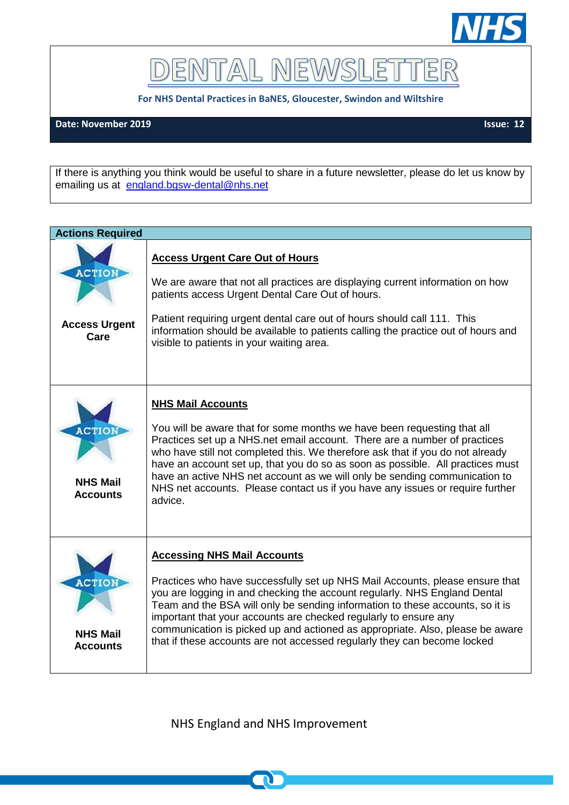

DENTAL NEWSLET TER

**For NHS Dental Practices in BaNES, Gloucester, Swindon and Wiltshire**

## **Date: November 2019** Issue: 12

If there is anything you think would be useful to share in a future newsletter, please do let us know by emailing us at [england.bgsw-dental@nhs.net](mailto:england.bgsw-dental@nhs.net)

| <b>Actions Required</b>                       |                                                                                                                                                                                                                                                                                                                                                                                                                                                                                                                                |
|-----------------------------------------------|--------------------------------------------------------------------------------------------------------------------------------------------------------------------------------------------------------------------------------------------------------------------------------------------------------------------------------------------------------------------------------------------------------------------------------------------------------------------------------------------------------------------------------|
| <b>ACTION</b><br><b>Access Urgent</b><br>Care | <b>Access Urgent Care Out of Hours</b><br>We are aware that not all practices are displaying current information on how<br>patients access Urgent Dental Care Out of hours.<br>Patient requiring urgent dental care out of hours should call 111. This<br>information should be available to patients calling the practice out of hours and<br>visible to patients in your waiting area.                                                                                                                                       |
| <b>NHS Mail</b><br><b>Accounts</b>            | <b>NHS Mail Accounts</b><br>You will be aware that for some months we have been requesting that all<br>Practices set up a NHS.net email account. There are a number of practices<br>who have still not completed this. We therefore ask that if you do not already<br>have an account set up, that you do so as soon as possible. All practices must<br>have an active NHS net account as we will only be sending communication to<br>NHS net accounts. Please contact us if you have any issues or require further<br>advice. |
| <b>NHS Mail</b><br><b>Accounts</b>            | <b>Accessing NHS Mail Accounts</b><br>Practices who have successfully set up NHS Mail Accounts, please ensure that<br>you are logging in and checking the account regularly. NHS England Dental<br>Team and the BSA will only be sending information to these accounts, so it is<br>important that your accounts are checked regularly to ensure any<br>communication is picked up and actioned as appropriate. Also, please be aware<br>that if these accounts are not accessed regularly they can become locked              |

NHS England and NHS Improvement